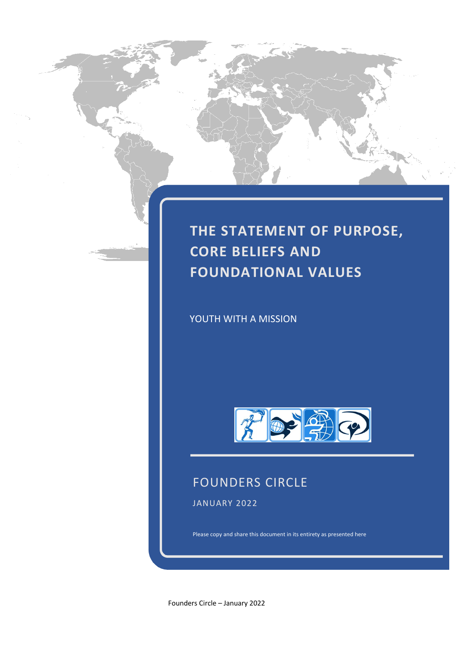# **THE STATEMENT OF PURPOSE, CORE BELIEFS AND FOUNDATIONAL VALUES**

YOUTH WITH A MISSION



## FOUNDERS CIRCLE

JANUARY 2022

Please copy and share this document in its entirety as presented here

Founders Circle – January 2022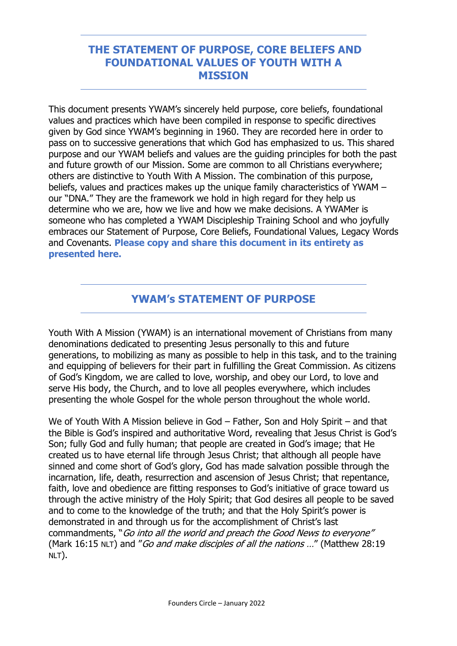## **THE STATEMENT OF PURPOSE, CORE BELIEFS AND FOUNDATIONAL VALUES OF YOUTH WITH A MISSION**

This document presents YWAM's sincerely held purpose, core beliefs, foundational values and practices which have been compiled in response to specific directives given by God since YWAM's beginning in 1960. They are recorded here in order to pass on to successive generations that which God has emphasized to us. This shared purpose and our YWAM beliefs and values are the guiding principles for both the past and future growth of our Mission. Some are common to all Christians everywhere; others are distinctive to Youth With A Mission. The combination of this purpose, beliefs, values and practices makes up the unique family characteristics of YWAM – our "DNA." They are the framework we hold in high regard for they help us determine who we are, how we live and how we make decisions. A YWAMer is someone who has completed a YWAM Discipleship Training School and who joyfully embraces our Statement of Purpose, Core Beliefs, Foundational Values, Legacy Words and Covenants. **Please copy and share this document in its entirety as presented here.**

## **YWAM's STATEMENT OF PURPOSE**

Youth With A Mission (YWAM) is an international movement of Christians from many denominations dedicated to presenting Jesus personally to this and future generations, to mobilizing as many as possible to help in this task, and to the training and equipping of believers for their part in fulfilling the Great Commission. As citizens of God's Kingdom, we are called to love, worship, and obey our Lord, to love and serve His body, the Church, and to love all peoples everywhere, which includes presenting the whole Gospel for the whole person throughout the whole world.

We of Youth With A Mission believe in God – Father, Son and Holy Spirit – and that the Bible is God's inspired and authoritative Word, revealing that Jesus Christ is God's Son; fully God and fully human; that people are created in God's image; that He created us to have eternal life through Jesus Christ; that although all people have sinned and come short of God's glory, God has made salvation possible through the incarnation, life, death, resurrection and ascension of Jesus Christ; that repentance, faith, love and obedience are fitting responses to God's initiative of grace toward us through the active ministry of the Holy Spirit; that God desires all people to be saved and to come to the knowledge of the truth; and that the Holy Spirit's power is demonstrated in and through us for the accomplishment of Christ's last commandments, "Go into all the world and preach the Good News to everyone" (Mark 16:15 NLT) and "Go and make disciples of all the nations ..." (Matthew 28:19 NLT).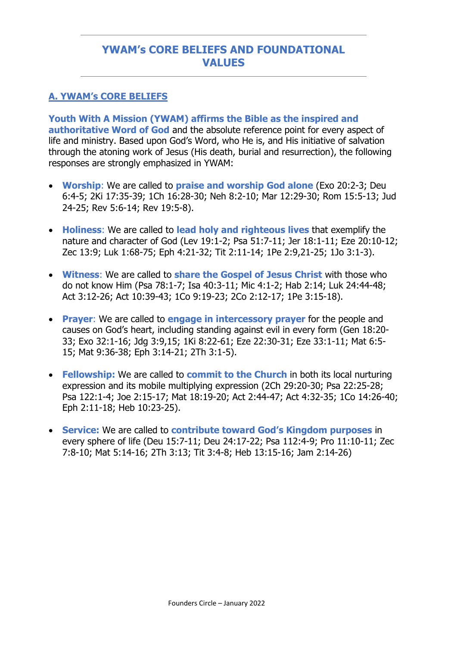## **YWAM's CORE BELIEFS AND FOUNDATIONAL VALUES**

### **A. YWAM's CORE BELIEFS**

**Youth With A Mission (YWAM) affirms the Bible as the inspired and authoritative Word of God** and the absolute reference point for every aspect of life and ministry. Based upon God's Word, who He is, and His initiative of salvation through the atoning work of Jesus (His death, burial and resurrection), the following responses are strongly emphasized in YWAM:

- **Worship**: We are called to **praise and worship God alone** (Exo 20:2-3; Deu 6:4-5; 2Ki 17:35-39; 1Ch 16:28-30; Neh 8:2-10; Mar 12:29-30; Rom 15:5-13; Jud 24-25; Rev 5:6-14; Rev 19:5-8).
- **Holiness**: We are called to **lead holy and righteous lives** that exemplify the nature and character of God (Lev 19:1-2; Psa 51:7-11; Jer 18:1-11; Eze 20:10-12; Zec 13:9; Luk 1:68-75; Eph 4:21-32; Tit 2:11-14; 1Pe 2:9,21-25; 1Jo 3:1-3).
- **Witness**: We are called to **share the Gospel of Jesus Christ** with those who do not know Him (Psa 78:1-7; Isa 40:3-11; Mic 4:1-2; Hab 2:14; Luk 24:44-48; Act 3:12-26; Act 10:39-43; 1Co 9:19-23; 2Co 2:12-17; 1Pe 3:15-18).
- **Prayer**: We are called to **engage in intercessory prayer** for the people and causes on God's heart, including standing against evil in every form (Gen 18:20- 33; Exo 32:1-16; Jdg 3:9,15; 1Ki 8:22-61; Eze 22:30-31; Eze 33:1-11; Mat 6:5- 15; Mat 9:36-38; Eph 3:14-21; 2Th 3:1-5).
- **Fellowship:** We are called to **commit to the Church** in both its local nurturing expression and its mobile multiplying expression (2Ch 29:20-30; Psa 22:25-28; Psa 122:1-4; Joe 2:15-17; Mat 18:19-20; Act 2:44-47; Act 4:32-35; 1Co 14:26-40; Eph 2:11-18; Heb 10:23-25).
- **Service:** We are called to **contribute toward God's Kingdom purposes** in every sphere of life (Deu 15:7-11; Deu 24:17-22; Psa 112:4-9; Pro 11:10-11; Zec 7:8-10; Mat 5:14-16; 2Th 3:13; Tit 3:4-8; Heb 13:15-16; Jam 2:14-26)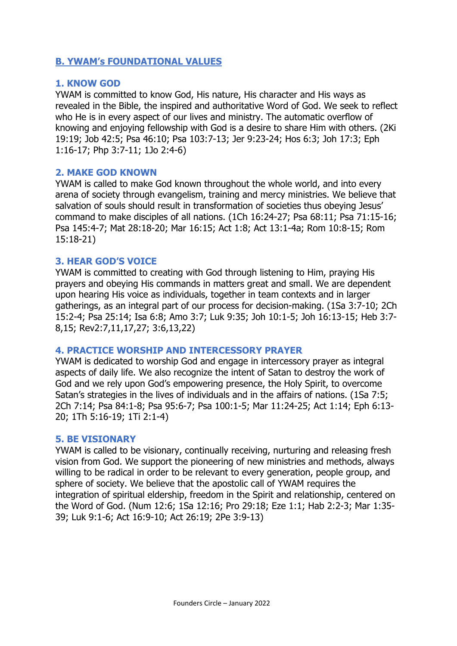#### **B. YWAM's FOUNDATIONAL VALUES**

#### **1. KNOW GOD**

YWAM is committed to know God, His nature, His character and His ways as revealed in the Bible, the inspired and authoritative Word of God. We seek to reflect who He is in every aspect of our lives and ministry. The automatic overflow of knowing and enjoying fellowship with God is a desire to share Him with others. (2Ki 19:19; Job 42:5; Psa 46:10; Psa 103:7-13; Jer 9:23-24; Hos 6:3; Joh 17:3; Eph 1:16-17; Php 3:7-11; 1Jo 2:4-6)

#### **2. MAKE GOD KNOWN**

YWAM is called to make God known throughout the whole world, and into every arena of society through evangelism, training and mercy ministries. We believe that salvation of souls should result in transformation of societies thus obeying Jesus' command to make disciples of all nations. (1Ch 16:24-27; Psa 68:11; Psa 71:15-16; Psa 145:4-7; Mat 28:18-20; Mar 16:15; Act 1:8; Act 13:1-4a; Rom 10:8-15; Rom 15:18-21)

#### **3. HEAR GOD'S VOICE**

YWAM is committed to creating with God through listening to Him, praying His prayers and obeying His commands in matters great and small. We are dependent upon hearing His voice as individuals, together in team contexts and in larger gatherings, as an integral part of our process for decision-making. (1Sa 3:7-10; 2Ch 15:2-4; Psa 25:14; Isa 6:8; Amo 3:7; Luk 9:35; Joh 10:1-5; Joh 16:13-15; Heb 3:7- 8,15; Rev2:7,11,17,27; 3:6,13,22)

#### **4. PRACTICE WORSHIP AND INTERCESSORY PRAYER**

YWAM is dedicated to worship God and engage in intercessory prayer as integral aspects of daily life. We also recognize the intent of Satan to destroy the work of God and we rely upon God's empowering presence, the Holy Spirit, to overcome Satan's strategies in the lives of individuals and in the affairs of nations. (1Sa 7:5; 2Ch 7:14; Psa 84:1-8; Psa 95:6-7; Psa 100:1-5; Mar 11:24-25; Act 1:14; Eph 6:13- 20; 1Th 5:16-19; 1Ti 2:1-4)

#### **5. BE VISIONARY**

YWAM is called to be visionary, continually receiving, nurturing and releasing fresh vision from God. We support the pioneering of new ministries and methods, always willing to be radical in order to be relevant to every generation, people group, and sphere of society. We believe that the apostolic call of YWAM requires the integration of spiritual eldership, freedom in the Spirit and relationship, centered on the Word of God. (Num 12:6; 1Sa 12:16; Pro 29:18; Eze 1:1; Hab 2:2-3; Mar 1:35- 39; Luk 9:1-6; Act 16:9-10; Act 26:19; 2Pe 3:9-13)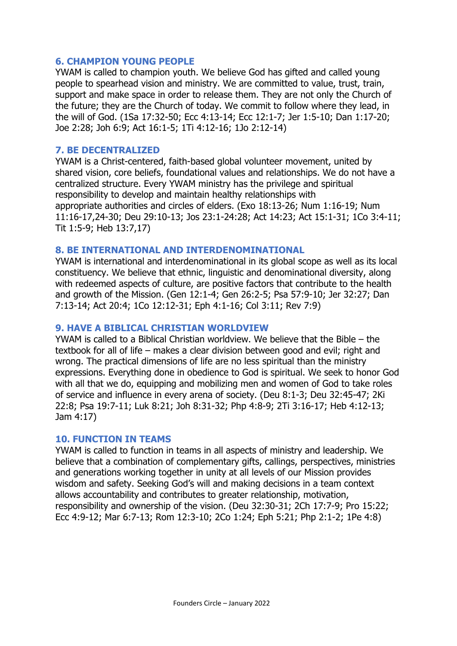#### **6. CHAMPION YOUNG PEOPLE**

YWAM is called to champion youth. We believe God has gifted and called young people to spearhead vision and ministry. We are committed to value, trust, train, support and make space in order to release them. They are not only the Church of the future; they are the Church of today. We commit to follow where they lead, in the will of God. (1Sa 17:32-50; Ecc 4:13-14; Ecc 12:1-7; Jer 1:5-10; Dan 1:17-20; Joe 2:28; Joh 6:9; Act 16:1-5; 1Ti 4:12-16; 1Jo 2:12-14)

#### **7. BE DECENTRALIZED**

YWAM is a Christ-centered, faith-based global volunteer movement, united by shared vision, core beliefs, foundational values and relationships. We do not have a centralized structure. Every YWAM ministry has the privilege and spiritual responsibility to develop and maintain healthy relationships with appropriate authorities and circles of elders. (Exo 18:13-26; Num 1:16-19; Num 11:16-17,24-30; Deu 29:10-13; Jos 23:1-24:28; Act 14:23; Act 15:1-31; 1Co 3:4-11; Tit 1:5-9; Heb 13:7,17)

#### **8. BE INTERNATIONAL AND INTERDENOMINATIONAL**

YWAM is international and interdenominational in its global scope as well as its local constituency. We believe that ethnic, linguistic and denominational diversity, along with redeemed aspects of culture, are positive factors that contribute to the health and growth of the Mission. (Gen 12:1-4; Gen 26:2-5; Psa 57:9-10; Jer 32:27; Dan 7:13-14; Act 20:4; 1Co 12:12-31; Eph 4:1-16; Col 3:11; Rev 7:9)

#### **9. HAVE A BIBLICAL CHRISTIAN WORLDVIEW**

YWAM is called to a Biblical Christian worldview. We believe that the Bible – the textbook for all of life – makes a clear division between good and evil; right and wrong. The practical dimensions of life are no less spiritual than the ministry expressions. Everything done in obedience to God is spiritual. We seek to honor God with all that we do, equipping and mobilizing men and women of God to take roles of service and influence in every arena of society. (Deu 8:1-3; Deu 32:45-47; 2Ki 22:8; Psa 19:7-11; Luk 8:21; Joh 8:31-32; Php 4:8-9; 2Ti 3:16-17; Heb 4:12-13; Jam 4:17)

#### **10. FUNCTION IN TEAMS**

YWAM is called to function in teams in all aspects of ministry and leadership. We believe that a combination of complementary gifts, callings, perspectives, ministries and generations working together in unity at all levels of our Mission provides wisdom and safety. Seeking God's will and making decisions in a team context allows accountability and contributes to greater relationship, motivation, responsibility and ownership of the vision. (Deu 32:30-31; 2Ch 17:7-9; Pro 15:22; Ecc 4:9-12; Mar 6:7-13; Rom 12:3-10; 2Co 1:24; Eph 5:21; Php 2:1-2; 1Pe 4:8)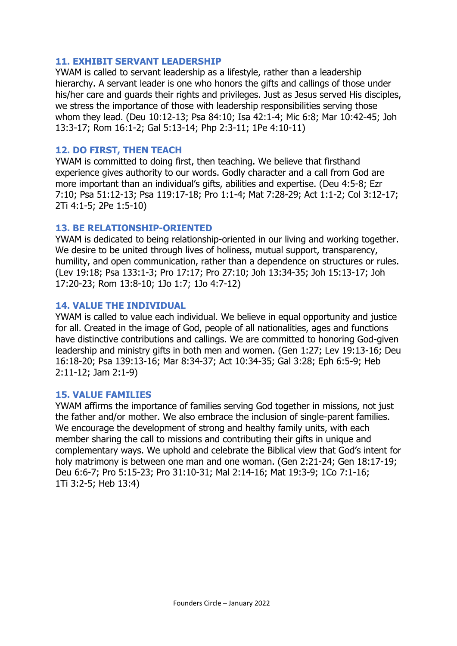#### **11. EXHIBIT SERVANT LEADERSHIP**

YWAM is called to servant leadership as a lifestyle, rather than a leadership hierarchy. A servant leader is one who honors the gifts and callings of those under his/her care and guards their rights and privileges. Just as Jesus served His disciples, we stress the importance of those with leadership responsibilities serving those whom they lead. (Deu 10:12-13; Psa 84:10; Isa 42:1-4; Mic 6:8; Mar 10:42-45; Joh 13:3-17; Rom 16:1-2; Gal 5:13-14; Php 2:3-11; 1Pe 4:10-11)

#### **12. DO FIRST, THEN TEACH**

YWAM is committed to doing first, then teaching. We believe that firsthand experience gives authority to our words. Godly character and a call from God are more important than an individual's gifts, abilities and expertise. (Deu 4:5-8; Ezr 7:10; Psa 51:12-13; Psa 119:17-18; Pro 1:1-4; Mat 7:28-29; Act 1:1-2; Col 3:12-17; 2Ti 4:1-5; 2Pe 1:5-10)

#### **13. BE RELATIONSHIP-ORIENTED**

YWAM is dedicated to being relationship-oriented in our living and working together. We desire to be united through lives of holiness, mutual support, transparency, humility, and open communication, rather than a dependence on structures or rules. (Lev 19:18; Psa 133:1-3; Pro 17:17; Pro 27:10; Joh 13:34-35; Joh 15:13-17; Joh 17:20-23; Rom 13:8-10; 1Jo 1:7; 1Jo 4:7-12)

#### **14. VALUE THE INDIVIDUAL**

YWAM is called to value each individual. We believe in equal opportunity and justice for all. Created in the image of God, people of all nationalities, ages and functions have distinctive contributions and callings. We are committed to honoring God-given leadership and ministry gifts in both men and women. (Gen 1:27; Lev 19:13-16; Deu 16:18-20; Psa 139:13-16; Mar 8:34-37; Act 10:34-35; Gal 3:28; Eph 6:5-9; Heb 2:11-12; Jam 2:1-9)

#### **15. VALUE FAMILIES**

YWAM affirms the importance of families serving God together in missions, not just the father and/or mother. We also embrace the inclusion of single-parent families. We encourage the development of strong and healthy family units, with each member sharing the call to missions and contributing their gifts in unique and complementary ways. We uphold and celebrate the Biblical view that God's intent for holy matrimony is between one man and one woman. (Gen 2:21-24; Gen 18:17-19; Deu 6:6-7; Pro 5:15-23; Pro 31:10-31; Mal 2:14-16; Mat 19:3-9; 1Co 7:1-16; 1Ti 3:2-5; Heb 13:4)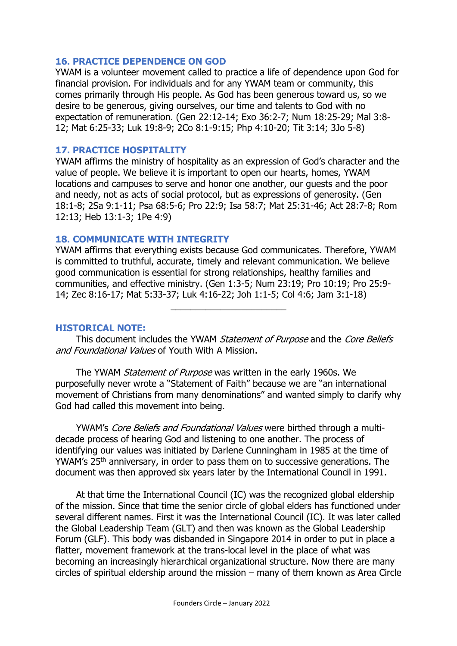#### **16. PRACTICE DEPENDENCE ON GOD**

YWAM is a volunteer movement called to practice a life of dependence upon God for financial provision. For individuals and for any YWAM team or community, this comes primarily through His people. As God has been generous toward us, so we desire to be generous, giving ourselves, our time and talents to God with no expectation of remuneration. (Gen 22:12-14; Exo 36:2-7; Num 18:25-29; Mal 3:8- 12; Mat 6:25-33; Luk 19:8-9; 2Co 8:1-9:15; Php 4:10-20; Tit 3:14; 3Jo 5-8)

#### **17. PRACTICE HOSPITALITY**

YWAM affirms the ministry of hospitality as an expression of God's character and the value of people. We believe it is important to open our hearts, homes, YWAM locations and campuses to serve and honor one another, our guests and the poor and needy, not as acts of social protocol, but as expressions of generosity. (Gen 18:1-8; 2Sa 9:1-11; Psa 68:5-6; Pro 22:9; Isa 58:7; Mat 25:31-46; Act 28:7-8; Rom 12:13; Heb 13:1-3; 1Pe 4:9)

#### **18. COMMUNICATE WITH INTEGRITY**

YWAM affirms that everything exists because God communicates. Therefore, YWAM is committed to truthful, accurate, timely and relevant communication. We believe good communication is essential for strong relationships, healthy families and communities, and effective ministry. (Gen 1:3-5; Num 23:19; Pro 10:19; Pro 25:9- 14; Zec 8:16-17; Mat 5:33-37; Luk 4:16-22; Joh 1:1-5; Col 4:6; Jam 3:1-18)

 $\overline{\phantom{a}}$  , which is the set of the set of the set of the set of the set of the set of the set of the set of the set of the set of the set of the set of the set of the set of the set of the set of the set of the set of

#### **HISTORICAL NOTE:**

This document includes the YWAM Statement of Purpose and the Core Beliefs and Foundational Values of Youth With A Mission.

The YWAM Statement of Purpose was written in the early 1960s. We purposefully never wrote a "Statement of Faith" because we are "an international movement of Christians from many denominations" and wanted simply to clarify why God had called this movement into being.

YWAM's Core Beliefs and Foundational Values were birthed through a multidecade process of hearing God and listening to one another. The process of identifying our values was initiated by Darlene Cunningham in 1985 at the time of YWAM's 25<sup>th</sup> anniversary, in order to pass them on to successive generations. The document was then approved six years later by the International Council in 1991.

At that time the International Council (IC) was the recognized global eldership of the mission. Since that time the senior circle of global elders has functioned under several different names. First it was the International Council (IC). It was later called the Global Leadership Team (GLT) and then was known as the Global Leadership Forum (GLF). This body was disbanded in Singapore 2014 in order to put in place a flatter, movement framework at the trans-local level in the place of what was becoming an increasingly hierarchical organizational structure. Now there are many circles of spiritual eldership around the mission – many of them known as Area Circle